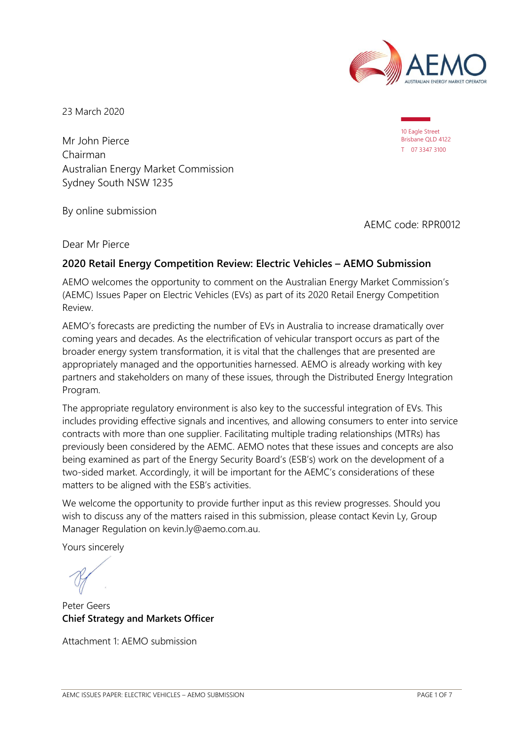

10 Eagle Street Brisbane QLD 4122 T 07 3347 3100

23 March 2020

Mr John Pierce Chairman Australian Energy Market Commission Sydney South NSW 1235

By online submission

AEMC code: RPR0012

Dear Mr Pierce

# **2020 Retail Energy Competition Review: Electric Vehicles – AEMO Submission**

AEMO welcomes the opportunity to comment on the Australian Energy Market Commission's (AEMC) Issues Paper on Electric Vehicles (EVs) as part of its 2020 Retail Energy Competition Review.

AEMO's forecasts are predicting the number of EVs in Australia to increase dramatically over coming years and decades. As the electrification of vehicular transport occurs as part of the broader energy system transformation, it is vital that the challenges that are presented are appropriately managed and the opportunities harnessed. AEMO is already working with key partners and stakeholders on many of these issues, through the Distributed Energy Integration Program.

The appropriate regulatory environment is also key to the successful integration of EVs. This includes providing effective signals and incentives, and allowing consumers to enter into service contracts with more than one supplier. Facilitating multiple trading relationships (MTRs) has previously been considered by the AEMC. AEMO notes that these issues and concepts are also being examined as part of the Energy Security Board's (ESB's) work on the development of a two-sided market. Accordingly, it will be important for the AEMC's considerations of these matters to be aligned with the ESB's activities.

We welcome the opportunity to provide further input as this review progresses. Should you wish to discuss any of the matters raised in this submission, please contact Kevin Ly, Group Manager Regulation on kevin.ly@aemo.com.au.

Yours sincerely

Peter Geers **Chief Strategy and Markets Officer**

Attachment 1: AEMO submission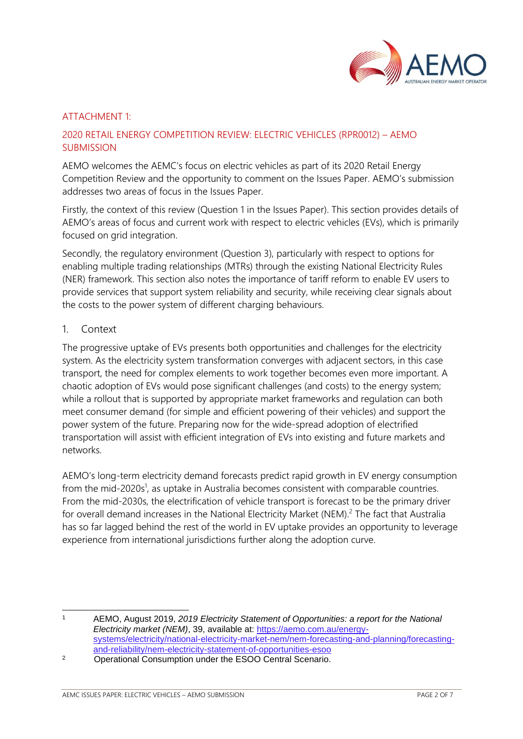

### ATTACHMENT 1:

# 2020 RETAIL ENERGY COMPETITION REVIEW: ELECTRIC VEHICLES (RPR0012) – AEMO **SUBMISSION**

AEMO welcomes the AEMC's focus on electric vehicles as part of its 2020 Retail Energy Competition Review and the opportunity to comment on the Issues Paper. AEMO's submission addresses two areas of focus in the Issues Paper.

Firstly, the context of this review (Question 1 in the Issues Paper). This section provides details of AEMO's areas of focus and current work with respect to electric vehicles (EVs), which is primarily focused on grid integration.

Secondly, the regulatory environment (Question 3), particularly with respect to options for enabling multiple trading relationships (MTRs) through the existing National Electricity Rules (NER) framework. This section also notes the importance of tariff reform to enable EV users to provide services that support system reliability and security, while receiving clear signals about the costs to the power system of different charging behaviours.

### 1. Context

The progressive uptake of EVs presents both opportunities and challenges for the electricity system. As the electricity system transformation converges with adjacent sectors, in this case transport, the need for complex elements to work together becomes even more important. A chaotic adoption of EVs would pose significant challenges (and costs) to the energy system; while a rollout that is supported by appropriate market frameworks and regulation can both meet consumer demand (for simple and efficient powering of their vehicles) and support the power system of the future. Preparing now for the wide-spread adoption of electrified transportation will assist with efficient integration of EVs into existing and future markets and networks.

AEMO's long-term electricity demand forecasts predict rapid growth in EV energy consumption from the mid-2020s<sup>1</sup>, as uptake in Australia becomes consistent with comparable countries. From the mid-2030s, the electrification of vehicle transport is forecast to be the primary driver for overall demand increases in the National Electricity Market (NEM).<sup>2</sup> The fact that Australia has so far lagged behind the rest of the world in EV uptake provides an opportunity to leverage experience from international jurisdictions further along the adoption curve.

<sup>1</sup> AEMO, August 2019, *2019 Electricity Statement of Opportunities: a report for the National Electricity market (NEM)*, 39, available at: [https://aemo.com.au/energy](https://aemo.com.au/energy-systems/electricity/national-electricity-market-nem/nem-forecasting-and-planning/forecasting-and-reliability/nem-electricity-statement-of-opportunities-esoo)[systems/electricity/national-electricity-market-nem/nem-forecasting-and-planning/forecasting](https://aemo.com.au/energy-systems/electricity/national-electricity-market-nem/nem-forecasting-and-planning/forecasting-and-reliability/nem-electricity-statement-of-opportunities-esoo)[and-reliability/nem-electricity-statement-of-opportunities-esoo](https://aemo.com.au/energy-systems/electricity/national-electricity-market-nem/nem-forecasting-and-planning/forecasting-and-reliability/nem-electricity-statement-of-opportunities-esoo)

<sup>2</sup> Operational Consumption under the ESOO Central Scenario.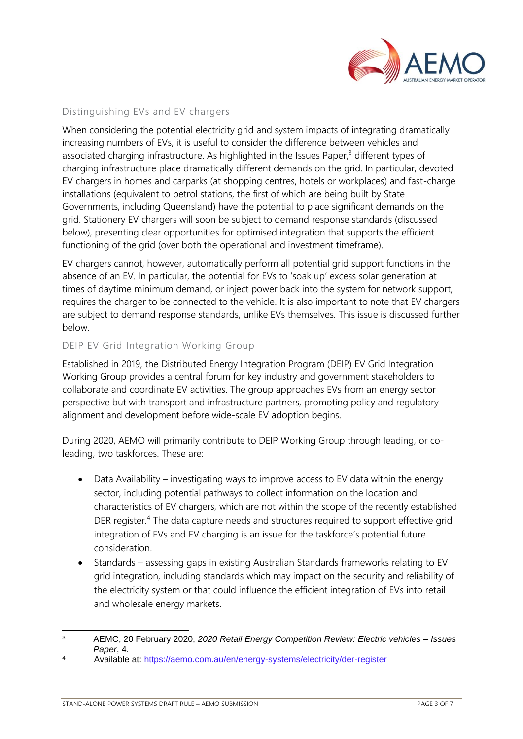

# Distinguishing EVs and EV chargers

When considering the potential electricity grid and system impacts of integrating dramatically increasing numbers of EVs, it is useful to consider the difference between vehicles and associated charging infrastructure. As highlighted in the Issues Paper, $3$  different types of charging infrastructure place dramatically different demands on the grid. In particular, devoted EV chargers in homes and carparks (at shopping centres, hotels or workplaces) and fast-charge installations (equivalent to petrol stations, the first of which are being built by State Governments, including Queensland) have the potential to place significant demands on the grid. Stationery EV chargers will soon be subject to demand response standards (discussed below), presenting clear opportunities for optimised integration that supports the efficient functioning of the grid (over both the operational and investment timeframe).

EV chargers cannot, however, automatically perform all potential grid support functions in the absence of an EV. In particular, the potential for EVs to 'soak up' excess solar generation at times of daytime minimum demand, or inject power back into the system for network support, requires the charger to be connected to the vehicle. It is also important to note that EV chargers are subject to demand response standards, unlike EVs themselves. This issue is discussed further below.

## DEIP EV Grid Integration Working Group

Established in 2019, the Distributed Energy Integration Program (DEIP) EV Grid Integration Working Group provides a central forum for key industry and government stakeholders to collaborate and coordinate EV activities. The group approaches EVs from an energy sector perspective but with transport and infrastructure partners, promoting policy and regulatory alignment and development before wide-scale EV adoption begins.

During 2020, AEMO will primarily contribute to DEIP Working Group through leading, or coleading, two taskforces. These are:

- Data Availability investigating ways to improve access to EV data within the energy sector, including potential pathways to collect information on the location and characteristics of EV chargers, which are not within the scope of the recently established DER register.<sup>4</sup> The data capture needs and structures required to support effective grid integration of EVs and EV charging is an issue for the taskforce's potential future consideration.
- Standards assessing gaps in existing Australian Standards frameworks relating to EV grid integration, including standards which may impact on the security and reliability of the electricity system or that could influence the efficient integration of EVs into retail and wholesale energy markets.

<sup>3</sup> AEMC, 20 February 2020, *2020 Retail Energy Competition Review: Electric vehicles – Issues Paper*, 4.

<sup>4</sup> Available at:<https://aemo.com.au/en/energy-systems/electricity/der-register>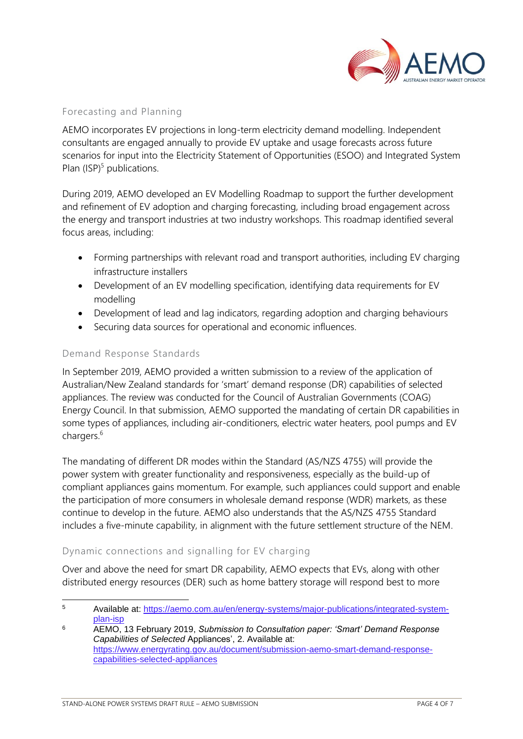

## Forecasting and Planning

AEMO incorporates EV projections in long-term electricity demand modelling. Independent consultants are engaged annually to provide EV uptake and usage forecasts across future scenarios for input into the Electricity Statement of Opportunities (ESOO) and Integrated System Plan  $(ISP)^5$  publications.

During 2019, AEMO developed an EV Modelling Roadmap to support the further development and refinement of EV adoption and charging forecasting, including broad engagement across the energy and transport industries at two industry workshops. This roadmap identified several focus areas, including:

- Forming partnerships with relevant road and transport authorities, including EV charging infrastructure installers
- Development of an EV modelling specification, identifying data requirements for EV modelling
- Development of lead and lag indicators, regarding adoption and charging behaviours
- Securing data sources for operational and economic influences.

### Demand Response Standards

In September 2019, AEMO provided a written submission to a review of the application of Australian/New Zealand standards for 'smart' demand response (DR) capabilities of selected appliances. The review was conducted for the Council of Australian Governments (COAG) Energy Council. In that submission, AEMO supported the mandating of certain DR capabilities in some types of appliances, including air-conditioners, electric water heaters, pool pumps and EV chargers.<sup>6</sup>

The mandating of different DR modes within the Standard (AS/NZS 4755) will provide the power system with greater functionality and responsiveness, especially as the build-up of compliant appliances gains momentum. For example, such appliances could support and enable the participation of more consumers in wholesale demand response (WDR) markets, as these continue to develop in the future. AEMO also understands that the AS/NZS 4755 Standard includes a five-minute capability, in alignment with the future settlement structure of the NEM.

# Dynamic connections and signalling for EV charging

Over and above the need for smart DR capability, AEMO expects that EVs, along with other distributed energy resources (DER) such as home battery storage will respond best to more

<sup>5</sup> Available at: [https://aemo.com.au/en/energy-systems/major-publications/integrated-system](https://aemo.com.au/en/energy-systems/major-publications/integrated-system-plan-isp)[plan-isp](https://aemo.com.au/en/energy-systems/major-publications/integrated-system-plan-isp)

<sup>6</sup> AEMO, 13 February 2019, *Submission to Consultation paper: 'Smart' Demand Response Capabilities of Selected* Appliances', 2. Available at: [https://www.energyrating.gov.au/document/submission-aemo-smart-demand-response](https://www.energyrating.gov.au/document/submission-aemo-smart-demand-response-capabilities-selected-appliances)[capabilities-selected-appliances](https://www.energyrating.gov.au/document/submission-aemo-smart-demand-response-capabilities-selected-appliances)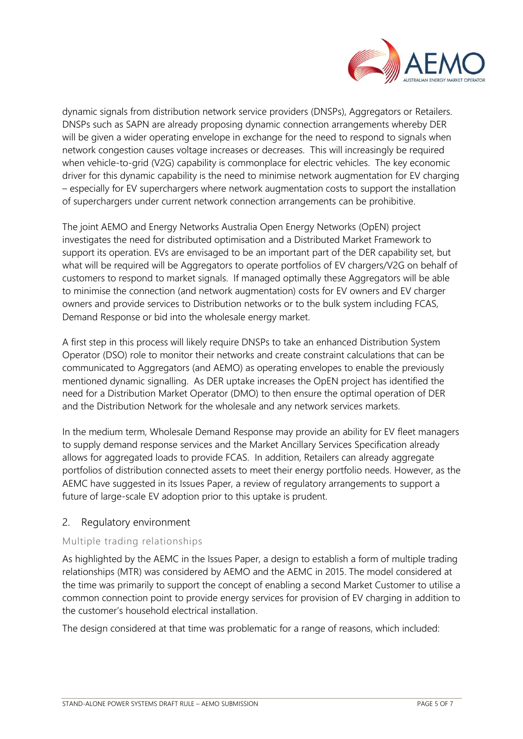

dynamic signals from distribution network service providers (DNSPs), Aggregators or Retailers. DNSPs such as SAPN are already proposing dynamic connection arrangements whereby DER will be given a wider operating envelope in exchange for the need to respond to signals when network congestion causes voltage increases or decreases. This will increasingly be required when vehicle-to-grid (V2G) capability is commonplace for electric vehicles. The key economic driver for this dynamic capability is the need to minimise network augmentation for EV charging – especially for EV superchargers where network augmentation costs to support the installation of superchargers under current network connection arrangements can be prohibitive.

The joint AEMO and Energy Networks Australia Open Energy Networks (OpEN) project investigates the need for distributed optimisation and a Distributed Market Framework to support its operation. EVs are envisaged to be an important part of the DER capability set, but what will be required will be Aggregators to operate portfolios of EV chargers/V2G on behalf of customers to respond to market signals. If managed optimally these Aggregators will be able to minimise the connection (and network augmentation) costs for EV owners and EV charger owners and provide services to Distribution networks or to the bulk system including FCAS, Demand Response or bid into the wholesale energy market.

A first step in this process will likely require DNSPs to take an enhanced Distribution System Operator (DSO) role to monitor their networks and create constraint calculations that can be communicated to Aggregators (and AEMO) as operating envelopes to enable the previously mentioned dynamic signalling. As DER uptake increases the OpEN project has identified the need for a Distribution Market Operator (DMO) to then ensure the optimal operation of DER and the Distribution Network for the wholesale and any network services markets.

In the medium term, Wholesale Demand Response may provide an ability for EV fleet managers to supply demand response services and the Market Ancillary Services Specification already allows for aggregated loads to provide FCAS. In addition, Retailers can already aggregate portfolios of distribution connected assets to meet their energy portfolio needs. However, as the AEMC have suggested in its Issues Paper, a review of regulatory arrangements to support a future of large-scale EV adoption prior to this uptake is prudent.

# 2. Regulatory environment

# Multiple trading relationships

As highlighted by the AEMC in the Issues Paper, a design to establish a form of multiple trading relationships (MTR) was considered by AEMO and the AEMC in 2015. The model considered at the time was primarily to support the concept of enabling a second Market Customer to utilise a common connection point to provide energy services for provision of EV charging in addition to the customer's household electrical installation.

The design considered at that time was problematic for a range of reasons, which included: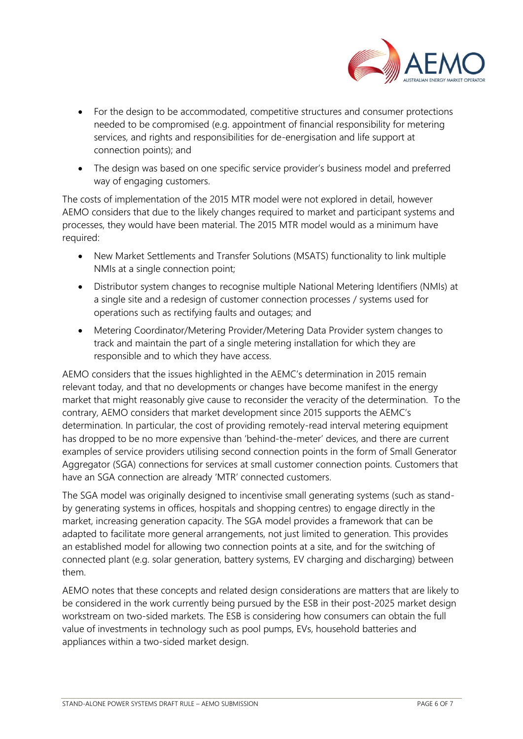

- For the design to be accommodated, competitive structures and consumer protections needed to be compromised (e.g. appointment of financial responsibility for metering services, and rights and responsibilities for de-energisation and life support at connection points); and
- The design was based on one specific service provider's business model and preferred way of engaging customers.

The costs of implementation of the 2015 MTR model were not explored in detail, however AEMO considers that due to the likely changes required to market and participant systems and processes, they would have been material. The 2015 MTR model would as a minimum have required:

- New Market Settlements and Transfer Solutions (MSATS) functionality to link multiple NMIs at a single connection point;
- Distributor system changes to recognise multiple National Metering Identifiers (NMIs) at a single site and a redesign of customer connection processes / systems used for operations such as rectifying faults and outages; and
- Metering Coordinator/Metering Provider/Metering Data Provider system changes to track and maintain the part of a single metering installation for which they are responsible and to which they have access.

AEMO considers that the issues highlighted in the AEMC's determination in 2015 remain relevant today, and that no developments or changes have become manifest in the energy market that might reasonably give cause to reconsider the veracity of the determination. To the contrary, AEMO considers that market development since 2015 supports the AEMC's determination. In particular, the cost of providing remotely-read interval metering equipment has dropped to be no more expensive than 'behind-the-meter' devices, and there are current examples of service providers utilising second connection points in the form of Small Generator Aggregator (SGA) connections for services at small customer connection points. Customers that have an SGA connection are already 'MTR' connected customers.

The SGA model was originally designed to incentivise small generating systems (such as standby generating systems in offices, hospitals and shopping centres) to engage directly in the market, increasing generation capacity. The SGA model provides a framework that can be adapted to facilitate more general arrangements, not just limited to generation. This provides an established model for allowing two connection points at a site, and for the switching of connected plant (e.g. solar generation, battery systems, EV charging and discharging) between them.

AEMO notes that these concepts and related design considerations are matters that are likely to be considered in the work currently being pursued by the ESB in their post-2025 market design workstream on two-sided markets. The ESB is considering how consumers can obtain the full value of investments in technology such as pool pumps, EVs, household batteries and appliances within a two-sided market design.